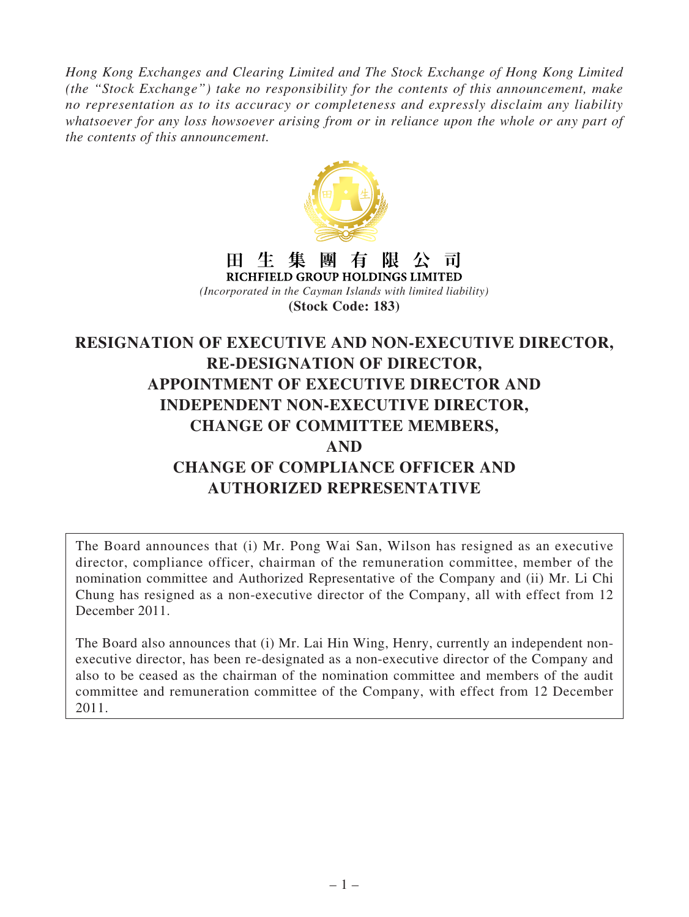*Hong Kong Exchanges and Clearing Limited and The Stock Exchange of Hong Kong Limited (the "Stock Exchange") take no responsibility for the contents of this announcement, make no representation as to its accuracy or completeness and expressly disclaim any liability whatsoever for any loss howsoever arising from or in reliance upon the whole or any part of the contents of this announcement.*



#### 田生集團有限公司 RICHFIELD GROUP HOLDINGS LIMITED

*(Incorporated in the Cayman Islands with limited liability)* **(Stock Code: 183)**

# **RESIGNATION OF EXECUTIVE AND NON-EXECUTIVE DIRECTOR, RE-DESIGNATION OF DIRECTOR, APPOINTMENT OF EXECUTIVE DIRECTOR AND INDEPENDENT NON-EXECUTIVE DIRECTOR, CHANGE OF COMMITTEE MEMBERS, AND CHANGE OF COMPLIANCE OFFICER AND AUTHORIZED REPRESENTATIVE**

The Board announces that (i) Mr. Pong Wai San, Wilson has resigned as an executive director, compliance officer, chairman of the remuneration committee, member of the nomination committee and Authorized Representative of the Company and (ii) Mr. Li Chi Chung has resigned as a non-executive director of the Company, all with effect from 12 December 2011.

The Board also announces that (i) Mr. Lai Hin Wing, Henry, currently an independent nonexecutive director, has been re-designated as a non-executive director of the Company and also to be ceased as the chairman of the nomination committee and members of the audit committee and remuneration committee of the Company, with effect from 12 December 2011.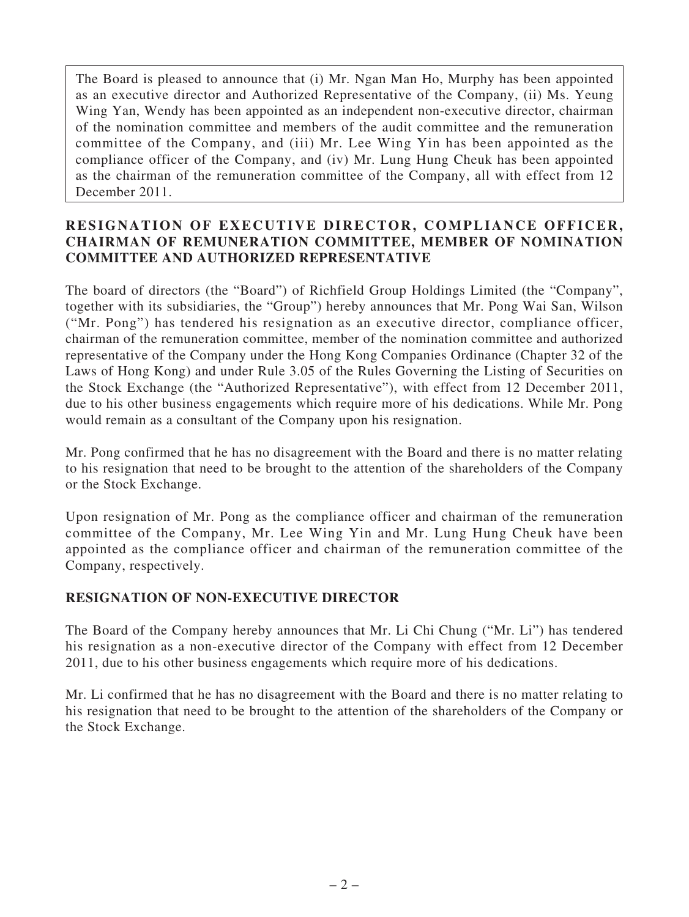The Board is pleased to announce that (i) Mr. Ngan Man Ho, Murphy has been appointed as an executive director and Authorized Representative of the Company, (ii) Ms. Yeung Wing Yan, Wendy has been appointed as an independent non-executive director, chairman of the nomination committee and members of the audit committee and the remuneration committee of the Company, and (iii) Mr. Lee Wing Yin has been appointed as the compliance officer of the Company, and (iv) Mr. Lung Hung Cheuk has been appointed as the chairman of the remuneration committee of the Company, all with effect from 12 December 2011.

## **RESIGNATION OF EXECUTIVE DIRECTOR, COMPLIANCE OFFICER, CHAIRMAN OF REMUNERATION COMMITTEE, MEMBER OF NOMINATION COMMITTEE AND AUTHORIZED REPRESENTATIVE**

The board of directors (the "Board") of Richfield Group Holdings Limited (the "Company", together with its subsidiaries, the "Group") hereby announces that Mr. Pong Wai San, Wilson ("Mr. Pong") has tendered his resignation as an executive director, compliance officer, chairman of the remuneration committee, member of the nomination committee and authorized representative of the Company under the Hong Kong Companies Ordinance (Chapter 32 of the Laws of Hong Kong) and under Rule 3.05 of the Rules Governing the Listing of Securities on the Stock Exchange (the "Authorized Representative"), with effect from 12 December 2011, due to his other business engagements which require more of his dedications. While Mr. Pong would remain as a consultant of the Company upon his resignation.

Mr. Pong confirmed that he has no disagreement with the Board and there is no matter relating to his resignation that need to be brought to the attention of the shareholders of the Company or the Stock Exchange.

Upon resignation of Mr. Pong as the compliance officer and chairman of the remuneration committee of the Company, Mr. Lee Wing Yin and Mr. Lung Hung Cheuk have been appointed as the compliance officer and chairman of the remuneration committee of the Company, respectively.

# **RESIGNATION OF NON-EXECUTIVE DIRECTOR**

The Board of the Company hereby announces that Mr. Li Chi Chung ("Mr. Li") has tendered his resignation as a non-executive director of the Company with effect from 12 December 2011, due to his other business engagements which require more of his dedications.

Mr. Li confirmed that he has no disagreement with the Board and there is no matter relating to his resignation that need to be brought to the attention of the shareholders of the Company or the Stock Exchange.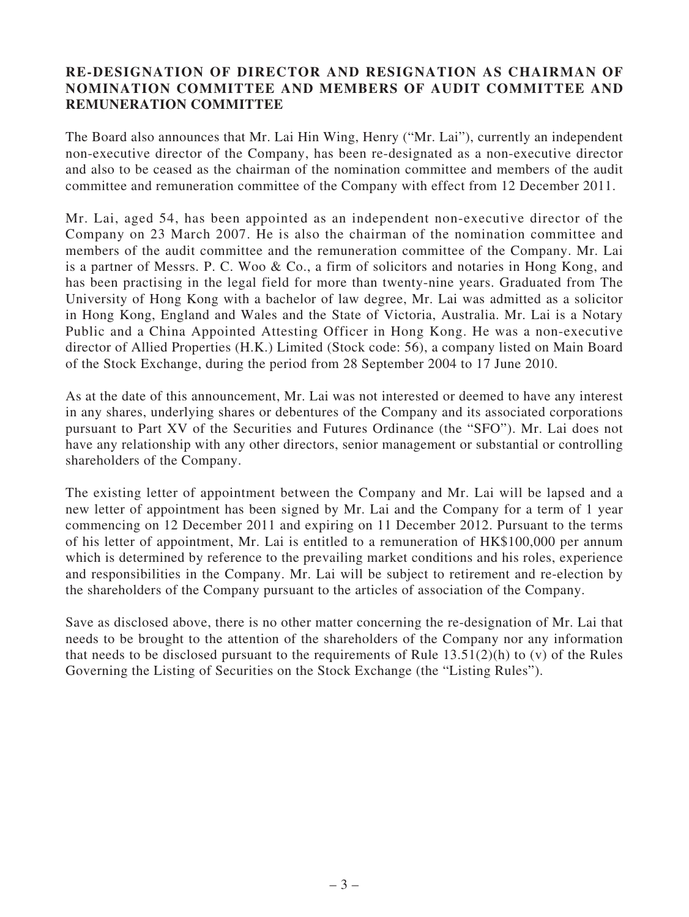#### **RE-DESIGNATION OF DIRECTOR AND RESIGNATION AS CHAIRMAN OF NOMINATION COMMITTEE AND MEMBERS OF AUDIT COMMITTEE AND REMUNERATION COMMITTEE**

The Board also announces that Mr. Lai Hin Wing, Henry ("Mr. Lai"), currently an independent non-executive director of the Company, has been re-designated as a non-executive director and also to be ceased as the chairman of the nomination committee and members of the audit committee and remuneration committee of the Company with effect from 12 December 2011.

Mr. Lai, aged 54, has been appointed as an independent non-executive director of the Company on 23 March 2007. He is also the chairman of the nomination committee and members of the audit committee and the remuneration committee of the Company. Mr. Lai is a partner of Messrs. P. C. Woo & Co., a firm of solicitors and notaries in Hong Kong, and has been practising in the legal field for more than twenty-nine years. Graduated from The University of Hong Kong with a bachelor of law degree, Mr. Lai was admitted as a solicitor in Hong Kong, England and Wales and the State of Victoria, Australia. Mr. Lai is a Notary Public and a China Appointed Attesting Officer in Hong Kong. He was a non-executive director of Allied Properties (H.K.) Limited (Stock code: 56), a company listed on Main Board of the Stock Exchange, during the period from 28 September 2004 to 17 June 2010.

As at the date of this announcement, Mr. Lai was not interested or deemed to have any interest in any shares, underlying shares or debentures of the Company and its associated corporations pursuant to Part XV of the Securities and Futures Ordinance (the "SFO"). Mr. Lai does not have any relationship with any other directors, senior management or substantial or controlling shareholders of the Company.

The existing letter of appointment between the Company and Mr. Lai will be lapsed and a new letter of appointment has been signed by Mr. Lai and the Company for a term of 1 year commencing on 12 December 2011 and expiring on 11 December 2012. Pursuant to the terms of his letter of appointment, Mr. Lai is entitled to a remuneration of HK\$100,000 per annum which is determined by reference to the prevailing market conditions and his roles, experience and responsibilities in the Company. Mr. Lai will be subject to retirement and re-election by the shareholders of the Company pursuant to the articles of association of the Company.

Save as disclosed above, there is no other matter concerning the re-designation of Mr. Lai that needs to be brought to the attention of the shareholders of the Company nor any information that needs to be disclosed pursuant to the requirements of Rule  $13.51(2)(h)$  to (v) of the Rules Governing the Listing of Securities on the Stock Exchange (the "Listing Rules").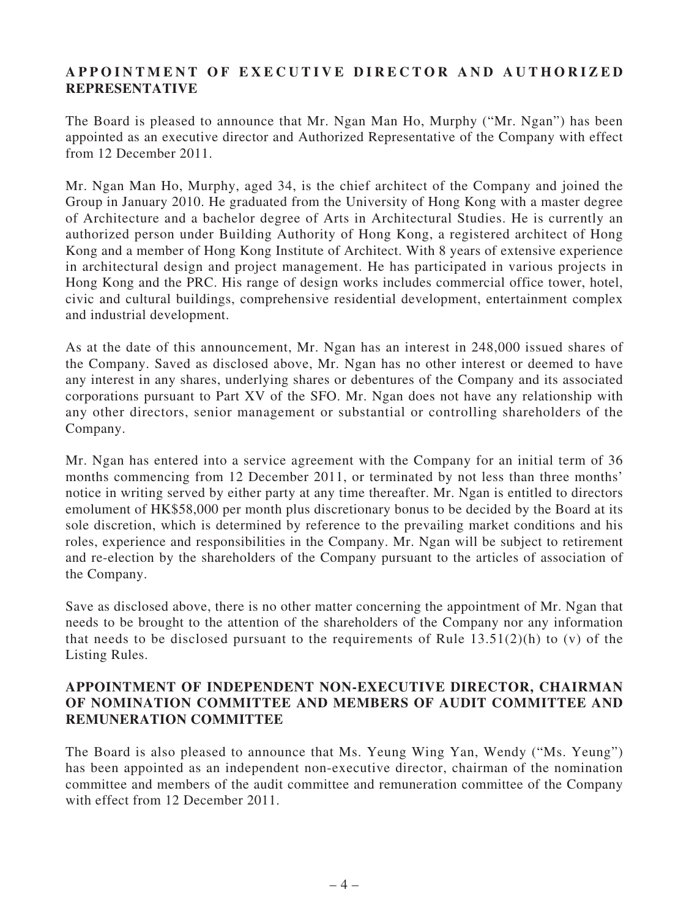## **APPOINTMENT OF EXECUTIVE DIRECTOR AND AUTHORIZED REPRESENTATIVE**

The Board is pleased to announce that Mr. Ngan Man Ho, Murphy ("Mr. Ngan") has been appointed as an executive director and Authorized Representative of the Company with effect from 12 December 2011.

Mr. Ngan Man Ho, Murphy, aged 34, is the chief architect of the Company and joined the Group in January 2010. He graduated from the University of Hong Kong with a master degree of Architecture and a bachelor degree of Arts in Architectural Studies. He is currently an authorized person under Building Authority of Hong Kong, a registered architect of Hong Kong and a member of Hong Kong Institute of Architect. With 8 years of extensive experience in architectural design and project management. He has participated in various projects in Hong Kong and the PRC. His range of design works includes commercial office tower, hotel, civic and cultural buildings, comprehensive residential development, entertainment complex and industrial development.

As at the date of this announcement, Mr. Ngan has an interest in 248,000 issued shares of the Company. Saved as disclosed above, Mr. Ngan has no other interest or deemed to have any interest in any shares, underlying shares or debentures of the Company and its associated corporations pursuant to Part XV of the SFO. Mr. Ngan does not have any relationship with any other directors, senior management or substantial or controlling shareholders of the Company.

Mr. Ngan has entered into a service agreement with the Company for an initial term of 36 months commencing from 12 December 2011, or terminated by not less than three months' notice in writing served by either party at any time thereafter. Mr. Ngan is entitled to directors emolument of HK\$58,000 per month plus discretionary bonus to be decided by the Board at its sole discretion, which is determined by reference to the prevailing market conditions and his roles, experience and responsibilities in the Company. Mr. Ngan will be subject to retirement and re-election by the shareholders of the Company pursuant to the articles of association of the Company.

Save as disclosed above, there is no other matter concerning the appointment of Mr. Ngan that needs to be brought to the attention of the shareholders of the Company nor any information that needs to be disclosed pursuant to the requirements of Rule  $13.51(2)(h)$  to (v) of the Listing Rules.

#### **APPOINTMENT OF INDEPENDENT NON-EXECUTIVE DIRECTOR, CHAIRMAN OF NOMINATION COMMITTEE AND MEMBERS OF AUDIT COMMITTEE AND REMUNERATION COMMITTEE**

The Board is also pleased to announce that Ms. Yeung Wing Yan, Wendy ("Ms. Yeung") has been appointed as an independent non-executive director, chairman of the nomination committee and members of the audit committee and remuneration committee of the Company with effect from 12 December 2011.